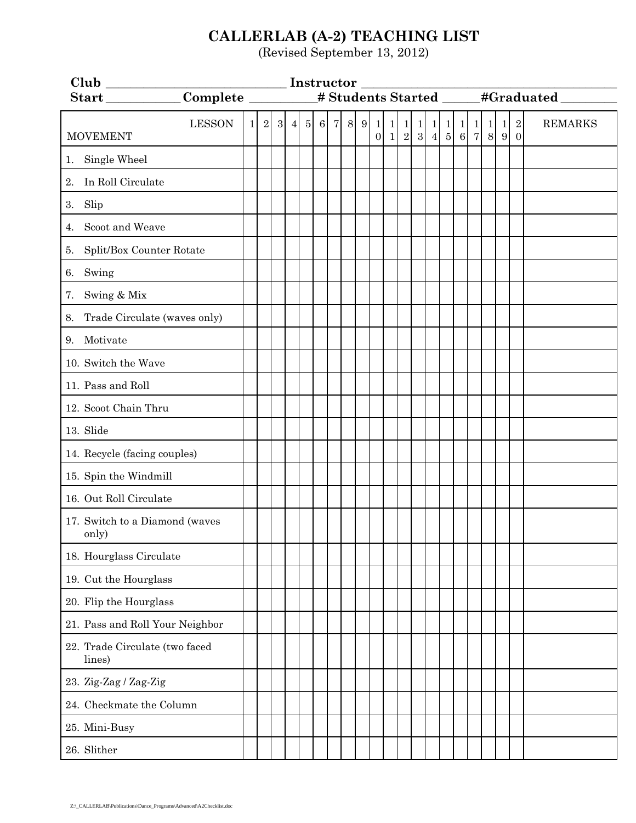## **CALLERLAB (A-2) TEACHING LIST**

(Revised September 13, 2012)

| _# Students Started ______#Graduated ______ |          |  |                   |                 |  |     |                 |  |     |                                |                |                                |                                        |                                                                       |  |  |         |                |                              |                |  |  |
|---------------------------------------------|----------|--|-------------------|-----------------|--|-----|-----------------|--|-----|--------------------------------|----------------|--------------------------------|----------------------------------------|-----------------------------------------------------------------------|--|--|---------|----------------|------------------------------|----------------|--|--|
|                                             |          |  |                   |                 |  |     |                 |  |     |                                |                |                                |                                        |                                                                       |  |  |         |                |                              |                |  |  |
| <b>LESSON</b><br><b>MOVEMENT</b>            | $1\vert$ |  | $2 \vert 3 \vert$ | $\vert 4 \vert$ |  | 5 6 | $7\phantom{.0}$ |  | 8 9 | $\mathbf{1}$<br>$\overline{0}$ | $\vert$ 1<br>1 | $\mathbf{1}$<br>$\overline{2}$ | $\begin{bmatrix} 1 \\ 3 \end{bmatrix}$ | $\begin{array}{c c c c c} 1 & 1 & 1 & 1 \\ 4 & 5 & 6 & 7 \end{array}$ |  |  | -1<br>8 | $\vert$ 1<br>9 | $\sqrt{2}$<br>$\overline{0}$ | <b>REMARKS</b> |  |  |
| 1. Single Wheel                             |          |  |                   |                 |  |     |                 |  |     |                                |                |                                |                                        |                                                                       |  |  |         |                |                              |                |  |  |
| In Roll Circulate<br>2.                     |          |  |                   |                 |  |     |                 |  |     |                                |                |                                |                                        |                                                                       |  |  |         |                |                              |                |  |  |
| 3. Slip                                     |          |  |                   |                 |  |     |                 |  |     |                                |                |                                |                                        |                                                                       |  |  |         |                |                              |                |  |  |
| Scoot and Weave<br>4.                       |          |  |                   |                 |  |     |                 |  |     |                                |                |                                |                                        |                                                                       |  |  |         |                |                              |                |  |  |
| Split/Box Counter Rotate<br>5.              |          |  |                   |                 |  |     |                 |  |     |                                |                |                                |                                        |                                                                       |  |  |         |                |                              |                |  |  |
| Swing<br>6.                                 |          |  |                   |                 |  |     |                 |  |     |                                |                |                                |                                        |                                                                       |  |  |         |                |                              |                |  |  |
| Swing & Mix<br>7.                           |          |  |                   |                 |  |     |                 |  |     |                                |                |                                |                                        |                                                                       |  |  |         |                |                              |                |  |  |
| Trade Circulate (waves only)<br>8.          |          |  |                   |                 |  |     |                 |  |     |                                |                |                                |                                        |                                                                       |  |  |         |                |                              |                |  |  |
| 9. Motivate                                 |          |  |                   |                 |  |     |                 |  |     |                                |                |                                |                                        |                                                                       |  |  |         |                |                              |                |  |  |
| 10. Switch the Wave                         |          |  |                   |                 |  |     |                 |  |     |                                |                |                                |                                        |                                                                       |  |  |         |                |                              |                |  |  |
| 11. Pass and Roll                           |          |  |                   |                 |  |     |                 |  |     |                                |                |                                |                                        |                                                                       |  |  |         |                |                              |                |  |  |
| 12. Scoot Chain Thru                        |          |  |                   |                 |  |     |                 |  |     |                                |                |                                |                                        |                                                                       |  |  |         |                |                              |                |  |  |
| 13. Slide                                   |          |  |                   |                 |  |     |                 |  |     |                                |                |                                |                                        |                                                                       |  |  |         |                |                              |                |  |  |
| 14. Recycle (facing couples)                |          |  |                   |                 |  |     |                 |  |     |                                |                |                                |                                        |                                                                       |  |  |         |                |                              |                |  |  |
| 15. Spin the Windmill                       |          |  |                   |                 |  |     |                 |  |     |                                |                |                                |                                        |                                                                       |  |  |         |                |                              |                |  |  |
| 16. Out Roll Circulate                      |          |  |                   |                 |  |     |                 |  |     |                                |                |                                |                                        |                                                                       |  |  |         |                |                              |                |  |  |
| 17. Switch to a Diamond (waves<br>only)     |          |  |                   |                 |  |     |                 |  |     |                                |                |                                |                                        |                                                                       |  |  |         |                |                              |                |  |  |
| 18. Hourglass Circulate                     |          |  |                   |                 |  |     |                 |  |     |                                |                |                                |                                        |                                                                       |  |  |         |                |                              |                |  |  |
| 19. Cut the Hourglass                       |          |  |                   |                 |  |     |                 |  |     |                                |                |                                |                                        |                                                                       |  |  |         |                |                              |                |  |  |
| 20. Flip the Hourglass                      |          |  |                   |                 |  |     |                 |  |     |                                |                |                                |                                        |                                                                       |  |  |         |                |                              |                |  |  |
| 21. Pass and Roll Your Neighbor             |          |  |                   |                 |  |     |                 |  |     |                                |                |                                |                                        |                                                                       |  |  |         |                |                              |                |  |  |
| 22. Trade Circulate (two faced<br>lines)    |          |  |                   |                 |  |     |                 |  |     |                                |                |                                |                                        |                                                                       |  |  |         |                |                              |                |  |  |
| 23. Zig-Zag / Zag-Zig                       |          |  |                   |                 |  |     |                 |  |     |                                |                |                                |                                        |                                                                       |  |  |         |                |                              |                |  |  |
| 24. Checkmate the Column                    |          |  |                   |                 |  |     |                 |  |     |                                |                |                                |                                        |                                                                       |  |  |         |                |                              |                |  |  |
| 25. Mini-Busy                               |          |  |                   |                 |  |     |                 |  |     |                                |                |                                |                                        |                                                                       |  |  |         |                |                              |                |  |  |
| 26. Slither                                 |          |  |                   |                 |  |     |                 |  |     |                                |                |                                |                                        |                                                                       |  |  |         |                |                              |                |  |  |